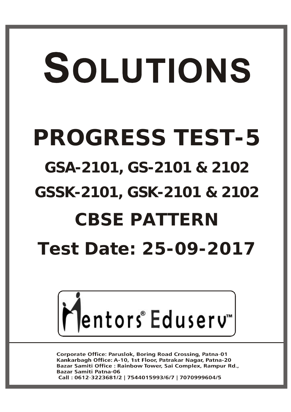# SOLUTIONS **PROGRESS TEST-5 GSA-2101, GS-2101 & 2102 GSSK-2101, GSK-2101 & 2102 CBSE PATTERN Test Date: 25-09-2017**



**Corporate Office: Paruslok, Boring Road Crossing, Patna-01** Kankarbagh Office: A-10, 1st Floor, Patrakar Nagar, Patna-20 Bazar Samiti Office : Rainbow Tower, Sai Complex, Rampur Rd., **Bazar Samiti Patna-06** Call: 0612-3223681/2 | 7544015993/6/7 | 7070999604/5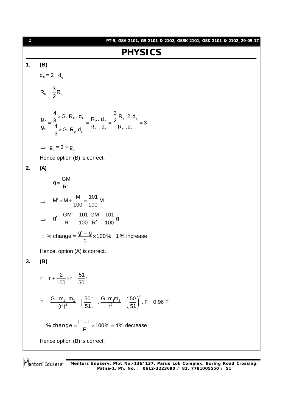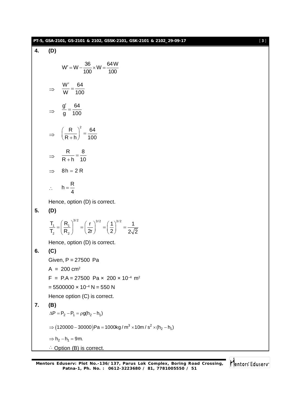|    | PT-5, GSA-2101, GS-2101 & 2102, GSSK-2101, GSK-2101 & 2102_29-09-17                                                                             | [3] |
|----|-------------------------------------------------------------------------------------------------------------------------------------------------|-----|
| 4. | (D)                                                                                                                                             |     |
|    | $W' = W - \frac{36}{100} \times W = \frac{64 W}{100}$                                                                                           |     |
|    | $\Rightarrow$ $\frac{W'}{W} = \frac{64}{100}$                                                                                                   |     |
|    | $\Rightarrow \frac{g'}{g} = \frac{64}{100}$                                                                                                     |     |
|    | $\Rightarrow \left(\frac{R}{R+h}\right)^2 = \frac{64}{100}$                                                                                     |     |
|    | $\Rightarrow$ $\frac{R}{R+h} = \frac{8}{10}$                                                                                                    |     |
|    | $8h = 2R$                                                                                                                                       |     |
|    | $\therefore h = \frac{R}{4}$                                                                                                                    |     |
| 5. | Hence, option (D) is correct.<br>(D)                                                                                                            |     |
|    | $\frac{T_1}{T_2} = \left(\frac{R_1}{R_2}\right)^{3/2} = \left(\frac{r}{2r}\right)^{3/2} = \left(\frac{1}{2}\right)^{3/2} = \frac{1}{2\sqrt{2}}$ |     |
|    | Hence, option (D) is correct.                                                                                                                   |     |
| 6. | (C)                                                                                                                                             |     |
|    | Given, P = 27500 Pa                                                                                                                             |     |
|    | $A = 200 \text{ cm}^2$                                                                                                                          |     |
|    | $F = P.A = 27500$ Pa $\times$ 200 $\times$ 10 <sup>-4</sup> m <sup>2</sup>                                                                      |     |
|    | $= 5500000 \times 10^{-4} N = 550 N$                                                                                                            |     |
| 7. | Hence option (C) is correct.<br>(B)                                                                                                             |     |
|    | $\Delta P = P_2 - P_1 = \rho g(h_2 - h_1)$                                                                                                      |     |
|    | $\Rightarrow$ (120000 – 30000)Pa = 1000kg / m <sup>3</sup> × 10m / s <sup>2</sup> × (h <sub>2</sub> – h <sub>1</sub> )                          |     |
|    | $\Rightarrow$ h <sub>2</sub> - h <sub>1</sub> = 9m.                                                                                             |     |
|    | ∴ Option (B) is correct.                                                                                                                        |     |

Mentors<sup>®</sup> Eduserv<sup>®</sup>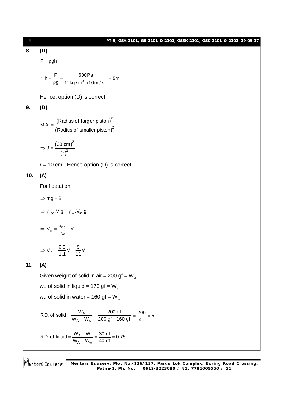## [ **4** ]

#### **PT-5, GSA-2101, GS-2101 & 2102, GSSK-2101, GSK-2101 & 2102\_29-09-17**

# **8. (D)**

 $P = \rho gh$ 

$$
\therefore h = \frac{P}{\rho g} = \frac{600Pa}{12kg/m^3 \times 10m/s^2} = 5m
$$

Hence, option (D) is correct

### **9. (D)**

$$
MA. = \frac{(Radius of larger piston)^2}{(Radius of smaller piston)^2}
$$

$$
\Rightarrow 9 = \frac{(30 \text{ cm})^2}{(r)^2}
$$

 $r = 10$  cm. Hence option (D) is correct.

## **10. (A)**

For floatation

 $\Rightarrow$  mg = B

$$
\Rightarrow \rho_{ice}.V.g = \rho_w.V_{in}.g
$$

$$
\Rightarrow V_{in} = \frac{\rho_{ice}}{\rho_w} \times V
$$

$$
\Rightarrow V_{in} = \frac{0.9}{1.1} V = \frac{9}{11} V
$$

## **11. (A)**

Given weight of solid in air = 200 gf =  $W_{A}$ 

wt. of solid in liquid = 170 gf = W<sub>i</sub>

wt. of solid in water =  $160$  gf = W<sub>w</sub>

R.D. of solid = 
$$
\frac{W_A}{W_A - W_w} = \frac{200 \text{ gf}}{200 \text{ gf} - 160 \text{ gf}} = \frac{200}{40} = 5
$$
  
R.D. of liquid =  $\frac{W_A - W_l}{W_A - W_w} = \frac{30 \text{ gf}}{40 \text{ gf}} = 0.75$ 

Mentors Eduserv **Mentors Eduserv: Plot No.-136/137, Parus Lok Complex, Boring Road Crossing, Patna-1, Ph. No. : 0612-3223680 / 81, 7781005550 / 51**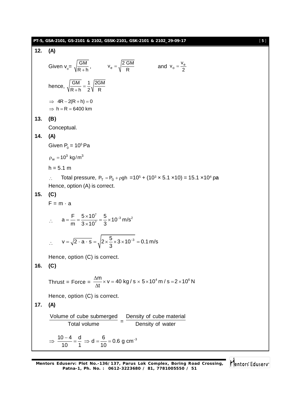|     | PT-5, GSA-2101, GS-2101 & 2102, GSSK-2101, GSK-2101 & 2102_29-09-17                                                                                               | [5] |
|-----|-------------------------------------------------------------------------------------------------------------------------------------------------------------------|-----|
| 12. | (A)                                                                                                                                                               |     |
|     | Given $v_{o} = \sqrt{\frac{GM}{R+h}}$ , $v_{e} = \sqrt{\frac{2 GM}{R}}$<br>and $v_0 = \frac{V_e}{2}$                                                              |     |
|     | hence, $\sqrt{\frac{GM}{R+h}} = \frac{1}{2} \sqrt{\frac{2GM}{R}}$                                                                                                 |     |
|     | $\Rightarrow$ 4R - 2(R + h) = 0<br>$\Rightarrow$ h = R = 6400 km                                                                                                  |     |
| 13. | (B)                                                                                                                                                               |     |
|     | Conceptual.                                                                                                                                                       |     |
| 14. | (A)                                                                                                                                                               |     |
|     | Given $P_0 = 10^5$ Pa                                                                                                                                             |     |
|     | $\rho_w = 10^3 \text{ kg/m}^3$                                                                                                                                    |     |
|     | $h = 5.1 m$                                                                                                                                                       |     |
| 15. | Total pressure, $P_T = P_0 + \rho gh = 10^5 + (10^3 \times 5.1 \times 10) = 15.1 \times 10^4 \text{ pa}$<br>$\mathcal{L}$<br>Hence, option (A) is correct.<br>(C) |     |
|     | $F = m \cdot a$                                                                                                                                                   |     |
|     | $\therefore$ a = $\frac{F}{m} = \frac{5 \times 10^{7}}{3 \times 10^{7}} = \frac{5}{3} \times 10^{-3}$ m/s <sup>2</sup>                                            |     |
|     | $\therefore$ $v = \sqrt{2 \cdot a \cdot s} = \sqrt{2 \times \frac{5}{3} \times 3 \times 10^{-3}} = 0.1 \text{ m/s}$                                               |     |
|     | Hence, option (C) is correct.                                                                                                                                     |     |
| 16. | (C)                                                                                                                                                               |     |
|     | Thrust = Force = $\frac{\Delta m}{\Delta t}$ × v = 40 kg / s × 5 × 10 <sup>4</sup> m / s = 2 × 10 <sup>6</sup> N                                                  |     |
|     | Hence, option (C) is correct.                                                                                                                                     |     |
| 17. | (A)                                                                                                                                                               |     |
|     | Volume of cube submerged  Density of cube material<br>Total volume<br>Density of water                                                                            |     |
|     | $\Rightarrow \frac{10-4}{10} = \frac{d}{1} \Rightarrow d = \frac{6}{10} = 0.6$ g cm <sup>-3</sup>                                                                 |     |

Mentors<sup>®</sup> Eduserv<sup>®</sup>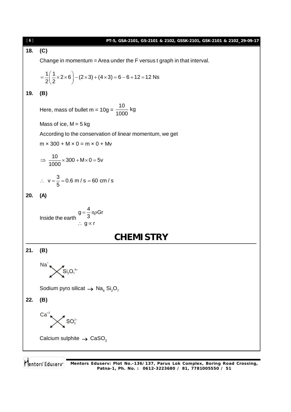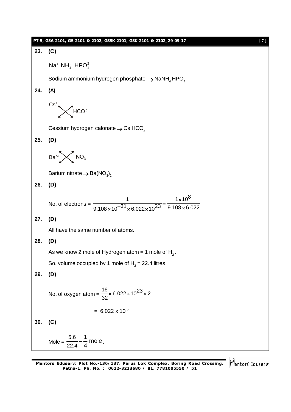

Mentors Edusery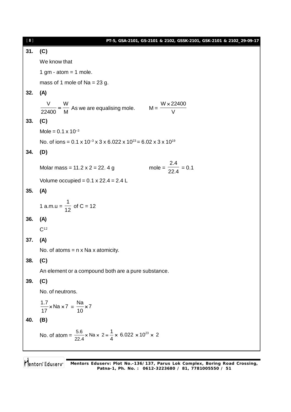| $[\begin{array}{c} 8 \end{array}]$ | PT-5, GSA-2101, GS-2101 & 2102, GSSK-2101, GSK-2101 & 2102_29-09-17                                    |
|------------------------------------|--------------------------------------------------------------------------------------------------------|
| 31.                                | (C)                                                                                                    |
|                                    | We know that                                                                                           |
|                                    | 1 gm - atom = 1 mole.                                                                                  |
|                                    | mass of 1 mole of $Na = 23 g$ .                                                                        |
| 32.                                | (A)                                                                                                    |
|                                    | $\frac{V}{22400} = \frac{W}{M}$ As we are equalising mole. $M = \frac{W \times 22400}{V}$              |
| 33.                                | (C)                                                                                                    |
|                                    | Mole = $0.1 \times 10^{-3}$                                                                            |
|                                    | No. of ions = $0.1 \times 10^{-3} \times 3 \times 6.022 \times 10^{23} = 6.02 \times 3 \times 10^{19}$ |
| 34.                                | (D)                                                                                                    |
|                                    | mole = $\frac{2.4}{22.4}$ = 0.1<br>Molar mass = $11.2 \times 2 = 22.4 g$                               |
|                                    | Volume occupied = $0.1 \times 22.4 = 2.4$ L                                                            |
| 35.                                | (A)                                                                                                    |
|                                    | 1 a.m.u = $\frac{1}{12}$ of C = 12                                                                     |
| 36.                                | (A)                                                                                                    |
|                                    | C <sup>12</sup>                                                                                        |
| 37.                                | (A)                                                                                                    |
|                                    | No. of atoms $= n \times$ Na x atomicity.                                                              |
| 38.                                | (C)                                                                                                    |
|                                    | An element or a compound both are a pure substance.                                                    |
| 39.                                | (C)                                                                                                    |
|                                    | No. of neutrons.                                                                                       |
|                                    | $\frac{1.7}{17}$ × Na × 7 = $\frac{Na}{10}$ × 7                                                        |
| 40.                                | (B)                                                                                                    |
|                                    | No. of atom = $\frac{5.6}{22.4}$ × Na × 2 = $\frac{1}{4}$ × 6.022 × 10 <sup>23</sup> × 2               |
|                                    |                                                                                                        |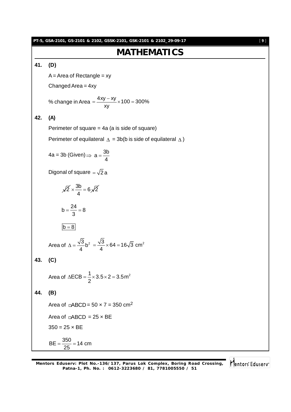**PT-5, GSA-2101, GS-2101 & 2102, GSSK-2101, GSK-2101 & 2102\_29-09-17** [ **9** ] **MATHEMATICS 41. (D)**  $A = Area$  of Rectangle = xy Changed Area = 4xy xy  $\overline{\phantom{0}}$ **42. (A)** 4a = 3b (Given)  $\Rightarrow$  a =  $\frac{3b}{4}$ 4  $=$ Digonal of square  $=\sqrt{2}$  a  $\overline{2} \times \frac{3b}{4} = 6\sqrt{2}$ 4  $x \frac{du}{dt} = 0$  $b = \frac{24}{3} = 8$ 3  $=\frac{244}{2}$  = 8  $b = 8$ Area of  $\Delta = \frac{\sqrt{3}}{4} b^2$ b 4 4 **43. (C)** 2 **44. (B)** Area of  $\Box$ ABCD = 50 x 7 = 350 cm<sup>2</sup> Area of  $\Box$ ABCD = 25  $\times$  BE  $350 = 25 \times BE$  $BE = \frac{350}{35} = 14$  cm 25  $=\frac{000}{25}=1$ 

Mentors Eduserv

% change in Area = 
$$
\frac{4xy - xy}{xy} \times 100 = 300\%
$$

Perimeter of square = 4a (a is side of square)

Perimeter of equilateral  $\Delta = 3b(b)$  is side of equilateral  $\Delta$ )

Area of 
$$
\Delta = \frac{\sqrt{3}}{4} b^2 = \frac{\sqrt{3}}{4} \times 64 = 16\sqrt{3}
$$
 cm<sup>2</sup>

Area of  $\triangle ECB = \frac{1}{2} \times 3.5 \times 2 = 3.5 \text{ m}^2$  $\triangle ECB = \frac{1}{2} \times 3.5 \times 2 = 3$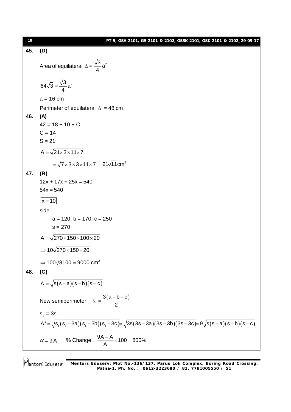| [10] | PT-5, GSA-2101, GS-2101 & 2102, GSSK-2101, GSK-2101 & 2102_29-09-17                                                    |
|------|------------------------------------------------------------------------------------------------------------------------|
| 45.  | (D)                                                                                                                    |
|      | Area of equilateral $\Delta = \frac{\sqrt{3}}{4} a^2$                                                                  |
|      | $64\sqrt{3} = \frac{\sqrt{3}}{4}a^2$                                                                                   |
|      | $a = 16$ cm                                                                                                            |
|      | Perimeter of equilateral $\Delta = 48$ cm                                                                              |
| 46.  | (A)                                                                                                                    |
|      | $42 = 18 + 10 + C$                                                                                                     |
|      | $C = 14$                                                                                                               |
|      | $S = 21$                                                                                                               |
|      | $A = \sqrt{21 \times 3 \times 11 \times 7}$                                                                            |
|      | $=\sqrt{7 \times 3 \times 3 \times 11 \times 7}$ = 21 $\sqrt{11}$ cm <sup>2</sup>                                      |
| 47.  | (B)                                                                                                                    |
|      | $12x + 17x + 25x = 540$                                                                                                |
|      | $54x = 540$                                                                                                            |
|      | $x = 10$                                                                                                               |
|      | side                                                                                                                   |
|      | $a = 120$ , $b = 170$ , $c = 250$                                                                                      |
|      | $s = 270$                                                                                                              |
|      | $A = \sqrt{270 \times 150 \times 100 \times 20}$                                                                       |
|      | $\Rightarrow$ 10 $\sqrt{270\times150}\times20$                                                                         |
|      | $\Rightarrow$ 100 $\sqrt{8100}$ = 9000 cm <sup>2</sup>                                                                 |
| 48.  | (C)                                                                                                                    |
|      | $A = \sqrt{s(s-a)(s-b)(s-c)}$                                                                                          |
|      | New semiperimeter $s_1 = \frac{3(a+b+c)}{2}$                                                                           |
|      | $S_1 = 3S$                                                                                                             |
|      | A' = $\sqrt{s( s_1 - 3a)(s_1 - 3b)(s_1 - 3c)} = \sqrt{3s(3s - 3a)(3s - 3b)(3s - 3c)} = 9\sqrt{s(s - a)(s - b)(s - c)}$ |
|      | A' = 9 A % Change = $\frac{9A-A}{\Delta}$ × 100 = 800%                                                                 |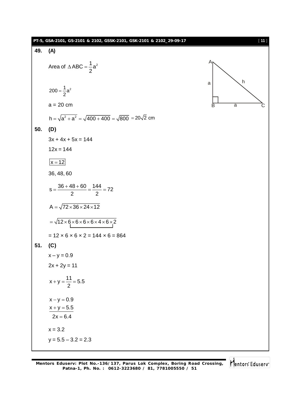|     | PT-5, GSA-2101, GS-2101 & 2102, GSSK-2101, GSK-2101 & 2102_29-09-17    | $[11]$                         |
|-----|------------------------------------------------------------------------|--------------------------------|
| 49. | (A)                                                                    |                                |
|     | Area of $\triangle$ ABC = $\frac{1}{2}$ a <sup>2</sup>                 | A<br>$\boldsymbol{\mathsf{h}}$ |
|     | $200 = \frac{1}{2}a^2$                                                 | a                              |
|     | $a = 20$ cm                                                            | $\overline{a}$<br>B            |
|     | $h = \sqrt{a^2 + a^2} = \sqrt{400 + 400} = \sqrt{800} = 20\sqrt{2}$ cm |                                |
| 50. | (D)                                                                    |                                |
|     | $3x + 4x + 5x = 144$                                                   |                                |
|     | $12x = 144$                                                            |                                |
|     | $x = 12$                                                               |                                |
|     | 36, 48, 60                                                             |                                |
|     | $s = \frac{36 + 48 + 60}{2} = \frac{144}{2} = 72$                      |                                |
|     | $A = \sqrt{72 \times 36 \times 24 \times 12}$                          |                                |
|     | $=\sqrt{12\times6\times6\times6\times4\times6\times2}$                 |                                |
|     | $= 12 \times 6 \times 6 \times 2 = 144 \times 6 = 864$                 |                                |
| 51. | (C)                                                                    |                                |
|     | $x - y = 0.9$                                                          |                                |
|     | $2x + 2y = 11$                                                         |                                |
|     | $x + y = \frac{11}{2} = 5.5$                                           |                                |
|     | $x - y = 0.9$                                                          |                                |
|     | $x + y = 5.5$                                                          |                                |
|     | $2x = 6.4$                                                             |                                |
|     | $x = 3.2$                                                              |                                |
|     | $y = 5.5 - 3.2 = 2.3$                                                  |                                |
|     |                                                                        |                                |

Mentors Eduserv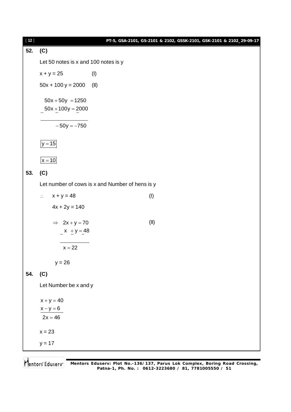| $[12]$ |                                                 |      | PT-5, GSA-2101, GS-2101 & 2102, GSSK-2101, GSK-2101 & 2102_29-09-17 |  |  |  |
|--------|-------------------------------------------------|------|---------------------------------------------------------------------|--|--|--|
| 52.    | (C)                                             |      |                                                                     |  |  |  |
|        | Let 50 notes is x and 100 notes is y            |      |                                                                     |  |  |  |
|        | $x + y = 25$                                    | (1)  |                                                                     |  |  |  |
|        | $50x + 100y = 2000$                             | (II) |                                                                     |  |  |  |
|        | $50x + 50y = 1250$                              |      |                                                                     |  |  |  |
|        | $50x + 100y = 2000$                             |      |                                                                     |  |  |  |
|        | $-50y = -750$                                   |      |                                                                     |  |  |  |
|        | $ y=15 $                                        |      |                                                                     |  |  |  |
|        | $x = 10$                                        |      |                                                                     |  |  |  |
| 53.    | (C)                                             |      |                                                                     |  |  |  |
|        | Let number of cows is x and Number of hens is y |      |                                                                     |  |  |  |
|        | $x + y = 48$<br>$\mathcal{L}_{\mathcal{C}}$     |      | (1)                                                                 |  |  |  |
|        | $4x + 2y = 140$                                 |      |                                                                     |  |  |  |
|        | $\Rightarrow$ 2x + y = 70                       |      | (II)                                                                |  |  |  |
|        | $x + y = 48$                                    |      |                                                                     |  |  |  |
|        | $x = 22$                                        |      |                                                                     |  |  |  |
|        | $y = 26$                                        |      |                                                                     |  |  |  |
| 54.    | (C)                                             |      |                                                                     |  |  |  |
|        | Let Number be x and y                           |      |                                                                     |  |  |  |
|        | $x + y = 40$                                    |      |                                                                     |  |  |  |
|        | $x - y = 6$                                     |      |                                                                     |  |  |  |
|        | $2x = 46$                                       |      |                                                                     |  |  |  |
|        | $x = 23$                                        |      |                                                                     |  |  |  |
|        | $y = 17$                                        |      |                                                                     |  |  |  |
|        |                                                 |      |                                                                     |  |  |  |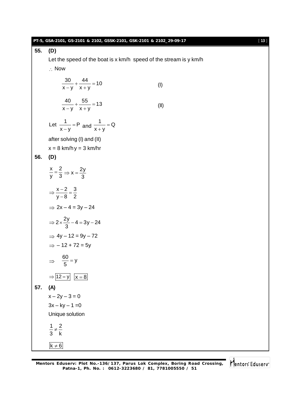| 55.<br>(D)<br>Let the speed of the boat is x km/h speed of the stream is y km/h<br>$\therefore$ Now<br>$\frac{30}{x-y} + \frac{44}{x+y} = 10$<br>(1)<br>$\frac{40}{x-y} + \frac{55}{x+y} = 13$<br>(II)<br>Let $\frac{1}{x-y}$ = P and $\frac{1}{x+y}$ = Q<br>after solving (I) and (II)<br>$x = 8$ km/h $y = 3$ km/hr<br>56.<br>(D)<br>$\frac{x}{y} = \frac{2}{3} \Rightarrow x = \frac{2y}{3}$<br>$\Rightarrow \frac{x-2}{y-8} = \frac{3}{2}$<br>$\Rightarrow$ 2x - 4 = 3y - 24<br>$\Rightarrow 2 \times \frac{2y}{3} - 4 = 3y - 24$<br>$\Rightarrow$ 4y - 12 = 9y - 72<br>$\Rightarrow$ - 12 + 72 = 5y<br>$\Rightarrow \frac{60}{5} = y$<br>$\Rightarrow$ $\boxed{12 = y}$ $\boxed{x = 8}$<br>57.<br>(A) | $[13]$ |  |  |  |
|------------------------------------------------------------------------------------------------------------------------------------------------------------------------------------------------------------------------------------------------------------------------------------------------------------------------------------------------------------------------------------------------------------------------------------------------------------------------------------------------------------------------------------------------------------------------------------------------------------------------------------------------------------------------------------------------------------|--------|--|--|--|
|                                                                                                                                                                                                                                                                                                                                                                                                                                                                                                                                                                                                                                                                                                            |        |  |  |  |
|                                                                                                                                                                                                                                                                                                                                                                                                                                                                                                                                                                                                                                                                                                            |        |  |  |  |
|                                                                                                                                                                                                                                                                                                                                                                                                                                                                                                                                                                                                                                                                                                            |        |  |  |  |
|                                                                                                                                                                                                                                                                                                                                                                                                                                                                                                                                                                                                                                                                                                            |        |  |  |  |
|                                                                                                                                                                                                                                                                                                                                                                                                                                                                                                                                                                                                                                                                                                            |        |  |  |  |
|                                                                                                                                                                                                                                                                                                                                                                                                                                                                                                                                                                                                                                                                                                            |        |  |  |  |
|                                                                                                                                                                                                                                                                                                                                                                                                                                                                                                                                                                                                                                                                                                            |        |  |  |  |
|                                                                                                                                                                                                                                                                                                                                                                                                                                                                                                                                                                                                                                                                                                            |        |  |  |  |
|                                                                                                                                                                                                                                                                                                                                                                                                                                                                                                                                                                                                                                                                                                            |        |  |  |  |
|                                                                                                                                                                                                                                                                                                                                                                                                                                                                                                                                                                                                                                                                                                            |        |  |  |  |
|                                                                                                                                                                                                                                                                                                                                                                                                                                                                                                                                                                                                                                                                                                            |        |  |  |  |
|                                                                                                                                                                                                                                                                                                                                                                                                                                                                                                                                                                                                                                                                                                            |        |  |  |  |
|                                                                                                                                                                                                                                                                                                                                                                                                                                                                                                                                                                                                                                                                                                            |        |  |  |  |
|                                                                                                                                                                                                                                                                                                                                                                                                                                                                                                                                                                                                                                                                                                            |        |  |  |  |
|                                                                                                                                                                                                                                                                                                                                                                                                                                                                                                                                                                                                                                                                                                            |        |  |  |  |
|                                                                                                                                                                                                                                                                                                                                                                                                                                                                                                                                                                                                                                                                                                            |        |  |  |  |
|                                                                                                                                                                                                                                                                                                                                                                                                                                                                                                                                                                                                                                                                                                            |        |  |  |  |
|                                                                                                                                                                                                                                                                                                                                                                                                                                                                                                                                                                                                                                                                                                            |        |  |  |  |
| $x - 2y - 3 = 0$                                                                                                                                                                                                                                                                                                                                                                                                                                                                                                                                                                                                                                                                                           |        |  |  |  |
| $3x - ky - 1 = 0$                                                                                                                                                                                                                                                                                                                                                                                                                                                                                                                                                                                                                                                                                          |        |  |  |  |
| Unique solution                                                                                                                                                                                                                                                                                                                                                                                                                                                                                                                                                                                                                                                                                            |        |  |  |  |
| $\frac{1}{3} \neq \frac{2}{k}$                                                                                                                                                                                                                                                                                                                                                                                                                                                                                                                                                                                                                                                                             |        |  |  |  |
| $k \neq 6$                                                                                                                                                                                                                                                                                                                                                                                                                                                                                                                                                                                                                                                                                                 |        |  |  |  |

Mentors<sup>e</sup> Eduserv<sup>-</sup>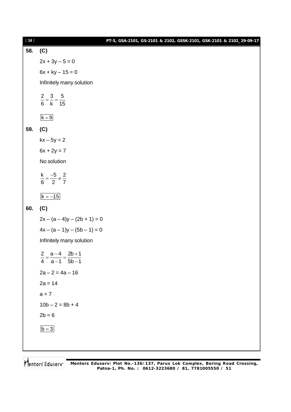| $[14]$ |                                               | PT-5, GSA-2101, GS-2101 & 2102, GSSK-2101, GSK-2101 & 2102_29-09-17 |  |
|--------|-----------------------------------------------|---------------------------------------------------------------------|--|
| 58.    | (C)                                           |                                                                     |  |
|        | $2x + 3y - 5 = 0$                             |                                                                     |  |
|        | $6x + ky - 15 = 0$                            |                                                                     |  |
|        | Infinitely many solution                      |                                                                     |  |
|        | $\frac{2}{6} = \frac{3}{k} = \frac{5}{15}$    |                                                                     |  |
|        | $k = 9$                                       |                                                                     |  |
| 59.    | (C)                                           |                                                                     |  |
|        | $kx - 5y = 2$                                 |                                                                     |  |
|        | $6x + 2y = 7$                                 |                                                                     |  |
|        | No solution                                   |                                                                     |  |
|        | $\frac{k}{6} = \frac{-5}{2} \neq \frac{2}{7}$ |                                                                     |  |
|        | $k = -15$                                     |                                                                     |  |
| 60.    | (C)                                           |                                                                     |  |
|        | $2x - (a - 4)y - (2b + 1) = 0$                |                                                                     |  |
|        | $4x - (a - 1)y - (5b - 1) = 0$                |                                                                     |  |
|        | Infinitely many solution                      |                                                                     |  |
|        | 2 $a-4$ $2b+1$<br>$4$ $a-1$ $5b-1$            |                                                                     |  |
|        | $2a - 2 = 4a - 16$                            |                                                                     |  |
|        | $2a = 14$                                     |                                                                     |  |
|        | $a = 7$                                       |                                                                     |  |
|        | $10b - 2 = 8b + 4$                            |                                                                     |  |
|        | $2b = 6$                                      |                                                                     |  |
|        | $\underline{b=3}$                             |                                                                     |  |
|        |                                               |                                                                     |  |
|        |                                               |                                                                     |  |